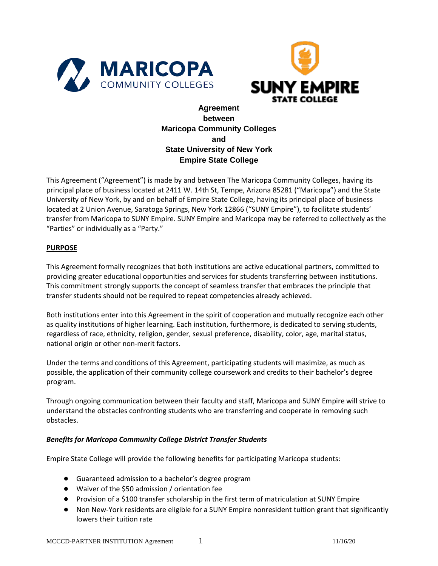



# **Agreement between Maricopa Community Colleges and State University of New York Empire State College**

This Agreement ("Agreement") is made by and between The Maricopa Community Colleges, having its principal place of business located at 2411 W. 14th St, Tempe, Arizona 85281 ("Maricopa") and the State University of New York, by and on behalf of Empire State College, having its principal place of business located at 2 Union Avenue, Saratoga Springs, New York 12866 ("SUNY Empire"), to facilitate students' transfer from Maricopa to SUNY Empire. SUNY Empire and Maricopa may be referred to collectively as the "Parties" or individually as a "Party."

### **PURPOSE**

This Agreement formally recognizes that both institutions are active educational partners, committed to providing greater educational opportunities and services for students transferring between institutions. This commitment strongly supports the concept of seamless transfer that embraces the principle that transfer students should not be required to repeat competencies already achieved.

Both institutions enter into this Agreement in the spirit of cooperation and mutually recognize each other as quality institutions of higher learning. Each institution, furthermore, is dedicated to serving students, regardless of race, ethnicity, religion, gender, sexual preference, disability, color, age, marital status, national origin or other non-merit factors.

Under the terms and conditions of this Agreement, participating students will maximize, as much as possible, the application of their community college coursework and credits to their bachelor's degree program.

Through ongoing communication between their faculty and staff, Maricopa and SUNY Empire will strive to understand the obstacles confronting students who are transferring and cooperate in removing such obstacles.

#### *Benefits for Maricopa Community College District Transfer Students*

Empire State College will provide the following benefits for participating Maricopa students:

- Guaranteed admission to a bachelor's degree program
- Waiver of the \$50 admission / orientation fee
- Provision of a \$100 transfer scholarship in the first term of matriculation at SUNY Empire
- Non New-York residents are eligible for a SUNY Empire nonresident tuition grant that significantly lowers their tuition rate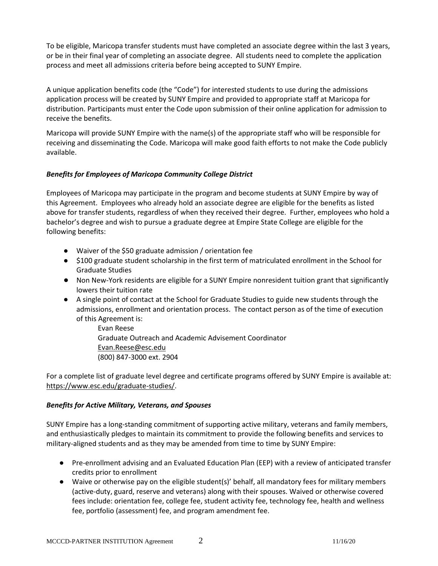To be eligible, Maricopa transfer students must have completed an associate degree within the last 3 years, or be in their final year of completing an associate degree. All students need to complete the application process and meet all admissions criteria before being accepted to SUNY Empire.

A unique application benefits code (the "Code") for interested students to use during the admissions application process will be created by SUNY Empire and provided to appropriate staff at Maricopa for distribution. Participants must enter the Code upon submission of their online application for admission to receive the benefits.

Maricopa will provide SUNY Empire with the name(s) of the appropriate staff who will be responsible for receiving and disseminating the Code. Maricopa will make good faith efforts to not make the Code publicly available.

## *Benefits for Employees of Maricopa Community College District*

Employees of Maricopa may participate in the program and become students at SUNY Empire by way of this Agreement. Employees who already hold an associate degree are eligible for the benefits as listed above for transfer students, regardless of when they received their degree. Further, employees who hold a bachelor's degree and wish to pursue a graduate degree at Empire State College are eligible for the following benefits:

- Waiver of the \$50 graduate admission / orientation fee
- \$100 graduate student scholarship in the first term of matriculated enrollment in the School for Graduate Studies
- Non New-York residents are eligible for a SUNY Empire nonresident tuition grant that significantly lowers their tuition rate
- A single point of contact at the School for Graduate Studies to guide new students through the admissions, enrollment and orientation process. The contact person as of the time of execution of this Agreement is:

Evan Reese Graduate Outreach and Academic Advisement Coordinator Evan.Reese@esc.edu (800) 847-3000 ext. 2904

For a complete list of graduate level degree and certificate programs offered by SUNY Empire is available at: https://www.esc.edu/graduate-studies/.

#### *Benefits for Active Military, Veterans, and Spouses*

SUNY Empire has a long-standing commitment of supporting active military, veterans and family members, and enthusiastically pledges to maintain its commitment to provide the following benefits and services to military-aligned students and as they may be amended from time to time by SUNY Empire:

- Pre-enrollment advising and an Evaluated Education Plan (EEP) with a review of anticipated transfer credits prior to enrollment
- Waive or otherwise pay on the eligible student(s)' behalf, all mandatory fees for military members (active-duty, guard, reserve and veterans) along with their spouses. Waived or otherwise covered fees include: orientation fee, college fee, student activity fee, technology fee, health and wellness fee, portfolio (assessment) fee, and program amendment fee.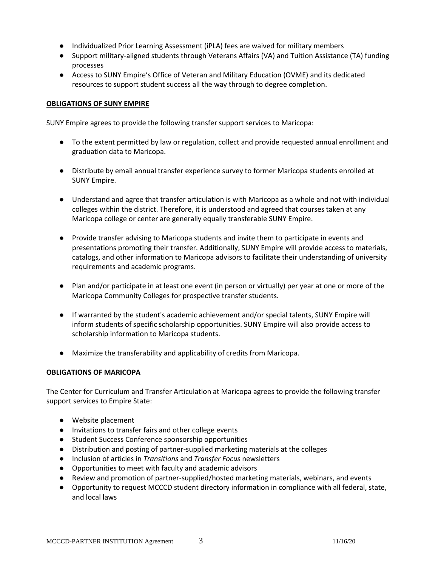- Individualized Prior Learning Assessment (iPLA) fees are waived for military members
- Support military-aligned students through Veterans Affairs (VA) and Tuition Assistance (TA) funding processes
- Access to SUNY Empire's Office of Veteran and Military Education (OVME) and its dedicated resources to support student success all the way through to degree completion.

### **OBLIGATIONS OF SUNY EMPIRE**

SUNY Empire agrees to provide the following transfer support services to Maricopa:

- To the extent permitted by law or regulation, collect and provide requested annual enrollment and graduation data to Maricopa.
- Distribute by email annual transfer experience survey to former Maricopa students enrolled at SUNY Empire.
- Understand and agree that transfer articulation is with Maricopa as a whole and not with individual colleges within the district. Therefore, it is understood and agreed that courses taken at any Maricopa college or center are generally equally transferable SUNY Empire.
- Provide transfer advising to Maricopa students and invite them to participate in events and presentations promoting their transfer. Additionally, SUNY Empire will provide access to materials, catalogs, and other information to Maricopa advisors to facilitate their understanding of university requirements and academic programs.
- Plan and/or participate in at least one event (in person or virtually) per year at one or more of the Maricopa Community Colleges for prospective transfer students.
- If warranted by the student's academic achievement and/or special talents, SUNY Empire will inform students of specific scholarship opportunities. SUNY Empire will also provide access to scholarship information to Maricopa students.
- Maximize the transferability and applicability of credits from Maricopa.

#### **OBLIGATIONS OF MARICOPA**

The Center for Curriculum and Transfer Articulation at Maricopa agrees to provide the following transfer support services to Empire State:

- Website placement
- Invitations to transfer fairs and other college events
- Student Success Conference sponsorship opportunities
- Distribution and posting of partner-supplied marketing materials at the colleges
- Inclusion of articles in *Transitions* and *Transfer Focus* newsletters
- Opportunities to meet with faculty and academic advisors
- Review and promotion of partner-supplied/hosted marketing materials, webinars, and events
- Opportunity to request MCCCD student directory information in compliance with all federal, state, and local laws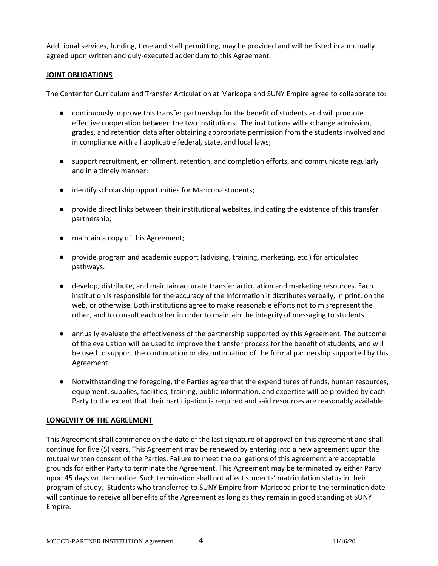Additional services, funding, time and staff permitting, may be provided and will be listed in a mutually agreed upon written and duly-executed addendum to this Agreement.

### **JOINT OBLIGATIONS**

The Center for Curriculum and Transfer Articulation at Maricopa and SUNY Empire agree to collaborate to:

- continuously improve this transfer partnership for the benefit of students and will promote effective cooperation between the two institutions. The institutions will exchange admission, grades, and retention data after obtaining appropriate permission from the students involved and in compliance with all applicable federal, state, and local laws;
- support recruitment, enrollment, retention, and completion efforts, and communicate regularly and in a timely manner;
- identify scholarship opportunities for Maricopa students;
- provide direct links between their institutional websites, indicating the existence of this transfer partnership;
- maintain a copy of this Agreement;
- provide program and academic support (advising, training, marketing, etc.) for articulated pathways.
- develop, distribute, and maintain accurate transfer articulation and marketing resources. Each institution is responsible for the accuracy of the information it distributes verbally, in print, on the web, or otherwise. Both institutions agree to make reasonable efforts not to misrepresent the other, and to consult each other in order to maintain the integrity of messaging to students.
- annually evaluate the effectiveness of the partnership supported by this Agreement. The outcome of the evaluation will be used to improve the transfer process for the benefit of students, and will be used to support the continuation or discontinuation of the formal partnership supported by this Agreement.
- Notwithstanding the foregoing, the Parties agree that the expenditures of funds, human resources, equipment, supplies, facilities, training, public information, and expertise will be provided by each Party to the extent that their participation is required and said resources are reasonably available.

## **LONGEVITY OF THE AGREEMENT**

This Agreement shall commence on the date of the last signature of approval on this agreement and shall continue for five (5) years. This Agreement may be renewed by entering into a new agreement upon the mutual written consent of the Parties. Failure to meet the obligations of this agreement are acceptable grounds for either Party to terminate the Agreement. This Agreement may be terminated by either Party upon 45 days written notice. Such termination shall not affect students' matriculation status in their program of study. Students who transferred to SUNY Empire from Maricopa prior to the termination date will continue to receive all benefits of the Agreement as long as they remain in good standing at SUNY Empire.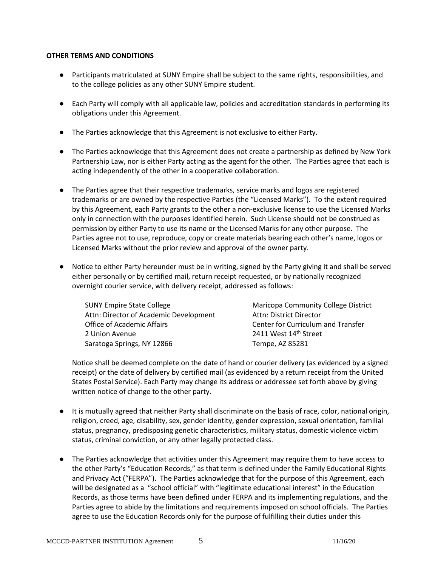#### **OTHER TERMS AND CONDITIONS**

- Participants matriculated at SUNY Empire shall be subject to the same rights, responsibilities, and to the college policies as any other SUNY Empire student.
- Each Party will comply with all applicable law, policies and accreditation standards in performing its obligations under this Agreement.
- The Parties acknowledge that this Agreement is not exclusive to either Party.
- The Parties acknowledge that this Agreement does not create a partnership as defined by New York Partnership Law, nor is either Party acting as the agent for the other. The Parties agree that each is acting independently of the other in a cooperative collaboration.
- The Parties agree that their respective trademarks, service marks and logos are registered trademarks or are owned by the respective Parties (the "Licensed Marks"). To the extent required by this Agreement, each Party grants to the other a non-exclusive license to use the Licensed Marks only in connection with the purposes identified herein. Such License should not be construed as permission by either Party to use its name or the Licensed Marks for any other purpose. The Parties agree not to use, reproduce, copy or create materials bearing each other's name, logos or Licensed Marks without the prior review and approval of the owner party.
- Notice to either Party hereunder must be in writing, signed by the Party giving it and shall be served either personally or by certified mail, return receipt requested, or by nationally recognized overnight courier service, with delivery receipt, addressed as follows:

| <b>SUNY Empire State College</b>       | Maricopa Community College District |
|----------------------------------------|-------------------------------------|
| Attn: Director of Academic Development | Attn: District Director             |
| Office of Academic Affairs             | Center for Curriculum and Transfer  |
| 2 Union Avenue                         | 2411 West 14 <sup>th</sup> Street   |
| Saratoga Springs, NY 12866             | Tempe, AZ 85281                     |

Notice shall be deemed complete on the date of hand or courier delivery (as evidenced by a signed receipt) or the date of delivery by certified mail (as evidenced by a return receipt from the United States Postal Service). Each Party may change its address or addressee set forth above by giving written notice of change to the other party.

- It is mutually agreed that neither Party shall discriminate on the basis of race, color, national origin, religion, creed, age, disability, sex, gender identity, gender expression, sexual orientation, familial status, pregnancy, predisposing genetic characteristics, military status, domestic violence victim status, criminal conviction, or any other legally protected class.
- The Parties acknowledge that activities under this Agreement may require them to have access to the other Party's "Education Records," as that term is defined under the Family Educational Rights and Privacy Act ("FERPA"). The Parties acknowledge that for the purpose of this Agreement, each will be designated as a "school official" with "legitimate educational interest" in the Education Records, as those terms have been defined under FERPA and its implementing regulations, and the Parties agree to abide by the limitations and requirements imposed on school officials. The Parties agree to use the Education Records only for the purpose of fulfilling their duties under this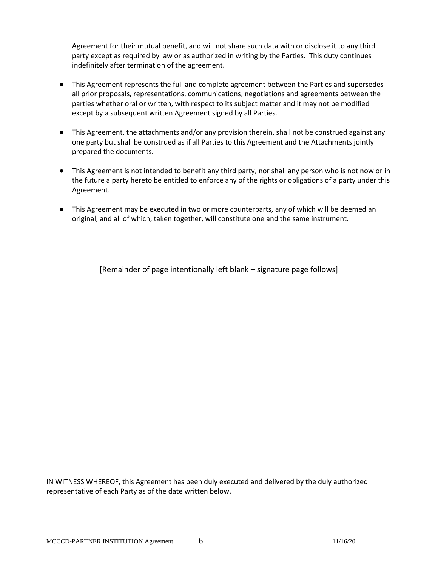Agreement for their mutual benefit, and will not share such data with or disclose it to any third party except as required by law or as authorized in writing by the Parties. This duty continues indefinitely after termination of the agreement.

- This Agreement represents the full and complete agreement between the Parties and supersedes all prior proposals, representations, communications, negotiations and agreements between the parties whether oral or written, with respect to its subject matter and it may not be modified except by a subsequent written Agreement signed by all Parties.
- This Agreement, the attachments and/or any provision therein, shall not be construed against any one party but shall be construed as if all Parties to this Agreement and the Attachments jointly prepared the documents.
- This Agreement is not intended to benefit any third party, nor shall any person who is not now or in the future a party hereto be entitled to enforce any of the rights or obligations of a party under this Agreement.
- This Agreement may be executed in two or more counterparts, any of which will be deemed an original, and all of which, taken together, will constitute one and the same instrument.

[Remainder of page intentionally left blank – signature page follows]

IN WITNESS WHEREOF, this Agreement has been duly executed and delivered by the duly authorized representative of each Party as of the date written below.